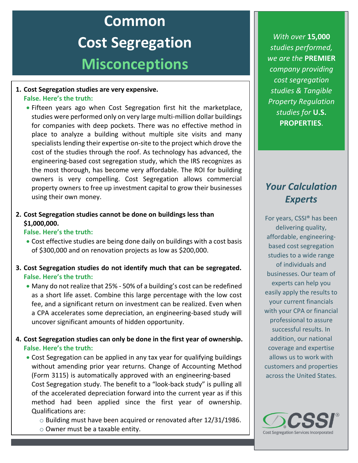# **Common Cost Segregation Misconceptions**

#### **1. Cost Segregation studies are very expensive. False. Here's the truth:**

• Fifteen years ago when Cost Segregation first hit the marketplace, studies were performed only on very large multi-million dollar buildings for companies with deep pockets. There was no effective method in place to analyze a building without multiple site visits and many specialists lending their expertise on-site to the project which drove the cost of the studies through the roof. As technology has advanced, the engineering-based cost segregation study, which the IRS recognizes as the most thorough, has become very affordable. The ROI for building owners is very compelling. Cost Segregation allows commercial property owners to free up investment capital to grow their businesses using their own money.

#### **2. Cost Segregation studies cannot be done on buildings less than \$1,000,000.**

#### **False. Here's the truth:**

- Cost effective studies are being done daily on buildings with a cost basis of \$300,000 and on renovation projects as low as \$200,000.
- **3. Cost Segregation studies do not identify much that can be segregated. False. Here's the truth:**
	- Many do not realize that 25% 50% of a building's cost can be redefined as a short life asset. Combine this large percentage with the low cost fee, and a significant return on investment can be realized. Even when a CPA accelerates some depreciation, an engineering-based study will uncover significant amounts of hidden opportunity.

#### **4. Cost Segregation studies can only be done in the first year of ownership. False. Here's the truth:**

- Cost Segregation can be applied in any tax year for qualifying buildings without amending prior year returns. Change of Accounting Method (Form 3115) is automatically approved with an engineering-based Cost Segregation study. The benefit to a "look-back study" is pulling all of the accelerated depreciation forward into the current year as if this method had been applied since the first year of ownership. Qualifications are:
	- o Building must have been acquired or renovated after 12/31/1986. o Owner must be a taxable entity.

*With over* **15,000** *studies performed, we are the* **PREMIER** *company providing cost segregation studies & Tangible Property Regulation studies for* **U.S. PROPERTIES**.

# *Your Calculation Experts*

For years, CSSI® has been delivering quality, affordable, engineeringbased cost segregation studies to a wide range of individuals and businesses. Our team of experts can help you easily apply the results to your current financials with your CPA or financial professional to assure successful results. In addition, our national coverage and expertise allows us to work with customers and properties across the United States.